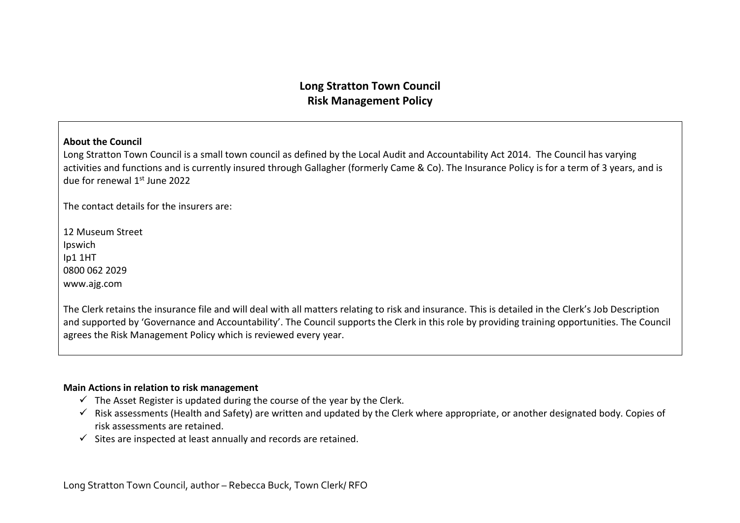## **Long Stratton Town Council Risk Management Policy**

### **About the Council**

Long Stratton Town Council is a small town council as defined by the Local Audit and Accountability Act 2014. The Council has varying activities and functions and is currently insured through Gallagher (formerly Came & Co). The Insurance Policy is for a term of 3 years, and is due for renewal 1st June 2022

The contact details for the insurers are:

12 Museum Street Ipswich Ip1 1HT 0800 062 2029 www.ajg.com

The Clerk retains the insurance file and will deal with all matters relating to risk and insurance. This is detailed in the Clerk's Job Description and supported by 'Governance and Accountability'. The Council supports the Clerk in this role by providing training opportunities. The Council agrees the Risk Management Policy which is reviewed every year.

### **Main Actions in relation to risk management**

- $\checkmark$  The Asset Register is updated during the course of the year by the Clerk.
- ✓ Risk assessments (Health and Safety) are written and updated by the Clerk where appropriate, or another designated body. Copies of risk assessments are retained.
- $\checkmark$  Sites are inspected at least annually and records are retained.

Long Stratton Town Council, author – Rebecca Buck, Town Clerk/ RFO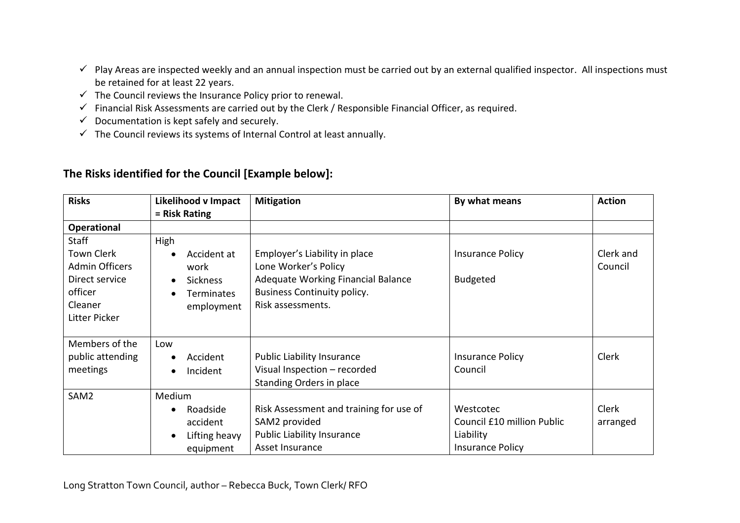- $\checkmark$  Play Areas are inspected weekly and an annual inspection must be carried out by an external qualified inspector. All inspections must be retained for at least 22 years.
- $\checkmark$  The Council reviews the Insurance Policy prior to renewal.
- ✓ Financial Risk Assessments are carried out by the Clerk / Responsible Financial Officer, as required.
- $\checkmark$  Documentation is kept safely and securely.
- $\checkmark$  The Council reviews its systems of Internal Control at least annually.

# **The Risks identified for the Council [Example below]:**

| <b>Risks</b>                                                                                                 | <b>Likelihood v Impact</b>                                                 | <b>Mitigation</b>                                                                                                                                      | By what means                                                                   | <b>Action</b>        |
|--------------------------------------------------------------------------------------------------------------|----------------------------------------------------------------------------|--------------------------------------------------------------------------------------------------------------------------------------------------------|---------------------------------------------------------------------------------|----------------------|
|                                                                                                              | = Risk Rating                                                              |                                                                                                                                                        |                                                                                 |                      |
| <b>Operational</b>                                                                                           |                                                                            |                                                                                                                                                        |                                                                                 |                      |
| Staff<br><b>Town Clerk</b><br><b>Admin Officers</b><br>Direct service<br>officer<br>Cleaner<br>Litter Picker | High<br>Accident at<br>work<br><b>Sickness</b><br>Terminates<br>employment | Employer's Liability in place<br>Lone Worker's Policy<br>Adequate Working Financial Balance<br><b>Business Continuity policy.</b><br>Risk assessments. | <b>Insurance Policy</b><br><b>Budgeted</b>                                      | Clerk and<br>Council |
| Members of the<br>public attending<br>meetings                                                               | Low<br>Accident<br>Incident                                                | <b>Public Liability Insurance</b><br>Visual Inspection - recorded<br>Standing Orders in place                                                          | <b>Insurance Policy</b><br>Council                                              | <b>Clerk</b>         |
| SAM <sub>2</sub>                                                                                             | Medium<br>Roadside<br>$\bullet$<br>accident<br>Lifting heavy<br>equipment  | Risk Assessment and training for use of<br>SAM2 provided<br><b>Public Liability Insurance</b><br>Asset Insurance                                       | Westcotec<br>Council £10 million Public<br>Liability<br><b>Insurance Policy</b> | Clerk<br>arranged    |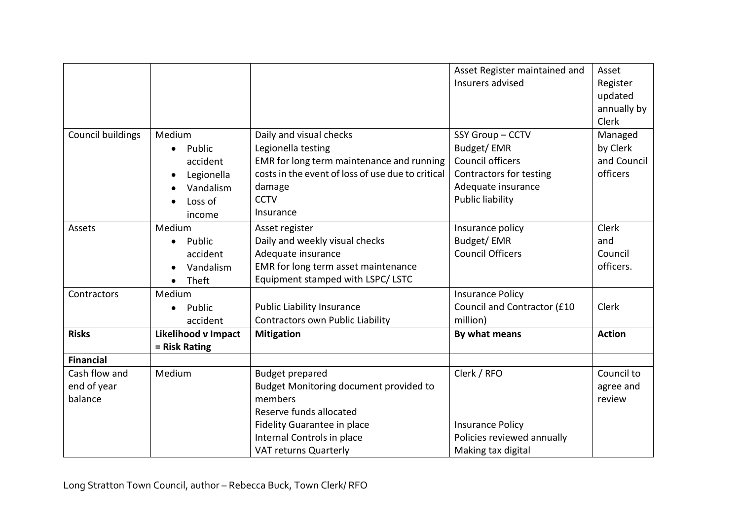|                          |                     |                                                   | Asset Register maintained and | Asset         |
|--------------------------|---------------------|---------------------------------------------------|-------------------------------|---------------|
|                          |                     |                                                   | Insurers advised              | Register      |
|                          |                     |                                                   |                               | updated       |
|                          |                     |                                                   |                               | annually by   |
|                          |                     |                                                   |                               | Clerk         |
| <b>Council buildings</b> | Medium              | Daily and visual checks                           | SSY Group-CCTV                | Managed       |
|                          | Public              | Legionella testing                                | Budget/EMR                    | by Clerk      |
|                          | accident            | EMR for long term maintenance and running         | <b>Council officers</b>       | and Council   |
|                          | Legionella          | costs in the event of loss of use due to critical | Contractors for testing       | officers      |
|                          | Vandalism           | damage                                            | Adequate insurance            |               |
|                          | Loss of             | <b>CCTV</b>                                       | <b>Public liability</b>       |               |
|                          | income              | Insurance                                         |                               |               |
| Assets                   | Medium              | Asset register                                    | Insurance policy              | Clerk         |
|                          | Public<br>$\bullet$ | Daily and weekly visual checks                    | Budget/EMR                    | and           |
|                          | accident            | Adequate insurance                                | <b>Council Officers</b>       | Council       |
|                          | Vandalism           | EMR for long term asset maintenance               |                               | officers.     |
|                          | Theft               | Equipment stamped with LSPC/ LSTC                 |                               |               |
| Contractors              | Medium              |                                                   | <b>Insurance Policy</b>       |               |
|                          | Public              | <b>Public Liability Insurance</b>                 | Council and Contractor (£10   | <b>Clerk</b>  |
|                          | accident            | Contractors own Public Liability                  | million)                      |               |
| <b>Risks</b>             | Likelihood v Impact | <b>Mitigation</b>                                 | By what means                 | <b>Action</b> |
|                          | = Risk Rating       |                                                   |                               |               |
| <b>Financial</b>         |                     |                                                   |                               |               |
| Cash flow and            | Medium              | <b>Budget prepared</b>                            | Clerk / RFO                   | Council to    |
| end of year              |                     | Budget Monitoring document provided to            |                               | agree and     |
| balance                  |                     | members                                           |                               | review        |
|                          |                     | Reserve funds allocated                           |                               |               |
|                          |                     | Fidelity Guarantee in place                       | <b>Insurance Policy</b>       |               |
|                          |                     | Internal Controls in place                        | Policies reviewed annually    |               |
|                          |                     | VAT returns Quarterly                             | Making tax digital            |               |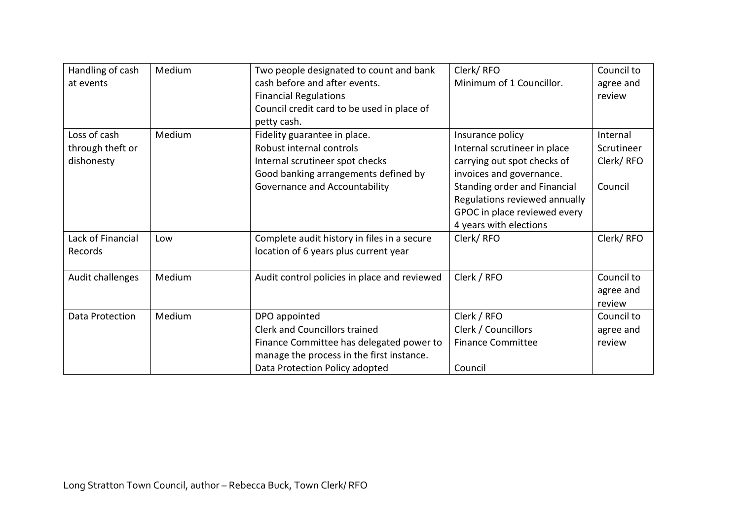| Handling of cash  | Medium | Two people designated to count and bank      | Clerk/RFO                     | Council to |
|-------------------|--------|----------------------------------------------|-------------------------------|------------|
| at events         |        | cash before and after events.                | Minimum of 1 Councillor.      | agree and  |
|                   |        | <b>Financial Regulations</b>                 |                               | review     |
|                   |        | Council credit card to be used in place of   |                               |            |
|                   |        | petty cash.                                  |                               |            |
| Loss of cash      | Medium | Fidelity guarantee in place.                 | Insurance policy              | Internal   |
| through theft or  |        | Robust internal controls                     | Internal scrutineer in place  | Scrutineer |
| dishonesty        |        | Internal scrutineer spot checks              | carrying out spot checks of   | Clerk/RFO  |
|                   |        | Good banking arrangements defined by         | invoices and governance.      |            |
|                   |        | Governance and Accountability                | Standing order and Financial  | Council    |
|                   |        |                                              | Regulations reviewed annually |            |
|                   |        |                                              | GPOC in place reviewed every  |            |
|                   |        |                                              | 4 years with elections        |            |
| Lack of Financial | Low    | Complete audit history in files in a secure  | Clerk/RFO                     | Clerk/RFO  |
| Records           |        | location of 6 years plus current year        |                               |            |
| Audit challenges  | Medium | Audit control policies in place and reviewed | Clerk / RFO                   | Council to |
|                   |        |                                              |                               | agree and  |
|                   |        |                                              |                               | review     |
| Data Protection   | Medium | DPO appointed                                | Clerk / RFO                   | Council to |
|                   |        | <b>Clerk and Councillors trained</b>         | Clerk / Councillors           | agree and  |
|                   |        | Finance Committee has delegated power to     | <b>Finance Committee</b>      | review     |
|                   |        | manage the process in the first instance.    |                               |            |
|                   |        | Data Protection Policy adopted               | Council                       |            |